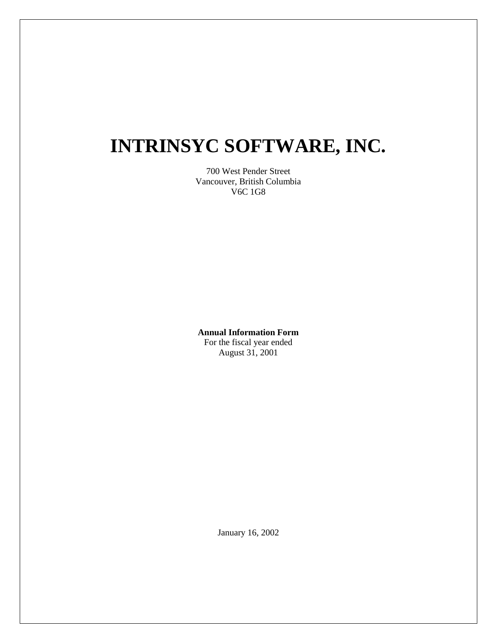# **INTRINSYC SOFTWARE, INC.**

700 West Pender Street Vancouver, British Columbia V6C 1G8

**Annual Information Form** For the fiscal year ended

August 31, 2001

January 16, 2002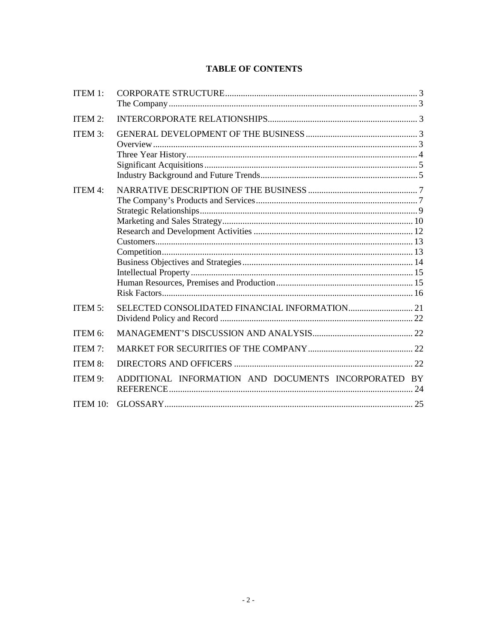# **TABLE OF CONTENTS**

| ITEM 1:        |                                                      |  |
|----------------|------------------------------------------------------|--|
| ITEM 2:        |                                                      |  |
| <b>ITEM 3:</b> |                                                      |  |
| <b>ITEM 4:</b> |                                                      |  |
| ITEM 5:        |                                                      |  |
| ITEM 6:        |                                                      |  |
| <b>ITEM 7:</b> |                                                      |  |
| <b>ITEM 8:</b> |                                                      |  |
| ITEM 9:        | ADDITIONAL INFORMATION AND DOCUMENTS INCORPORATED BY |  |
| ITEM 10:       |                                                      |  |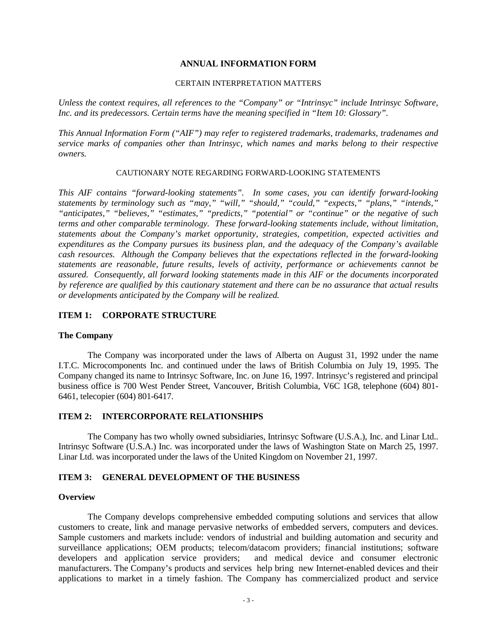#### **ANNUAL INFORMATION FORM**

#### CERTAIN INTERPRETATION MATTERS

*Unless the context requires, all references to the "Company" or "Intrinsyc" include Intrinsyc Software, Inc. and its predecessors. Certain terms have the meaning specified in "Item 10: Glossary".*

*This Annual Information Form ("AIF") may refer to registered trademarks, trademarks, tradenames and service marks of companies other than Intrinsyc, which names and marks belong to their respective owners.*

#### CAUTIONARY NOTE REGARDING FORWARD-LOOKING STATEMENTS

*This AIF contains "forward-looking statements". In some cases, you can identify forward-looking statements by terminology such as "may," "will," "should," "could," "expects," "plans," "intends," "anticipates," "believes," "estimates," "predicts," "potential" or "continue" or the negative of such terms and other comparable terminology. These forward-looking statements include, without limitation, statements about the Company's market opportunity, strategies, competition, expected activities and expenditures as the Company pursues its business plan, and the adequacy of the Company's available cash resources. Although the Company believes that the expectations reflected in the forward-looking statements are reasonable, future results, levels of activity, performance or achievements cannot be assured. Consequently, all forward looking statements made in this AIF or the documents incorporated by reference are qualified by this cautionary statement and there can be no assurance that actual results or developments anticipated by the Company will be realized.*

#### **ITEM 1: CORPORATE STRUCTURE**

#### **The Company**

The Company was incorporated under the laws of Alberta on August 31, 1992 under the name I.T.C. Microcomponents Inc. and continued under the laws of British Columbia on July 19, 1995. The Company changed its name to Intrinsyc Software, Inc. on June 16, 1997. Intrinsyc's registered and principal business office is 700 West Pender Street, Vancouver, British Columbia, V6C 1G8, telephone (604) 801- 6461, telecopier (604) 801-6417.

#### **ITEM 2: INTERCORPORATE RELATIONSHIPS**

The Company has two wholly owned subsidiaries, Intrinsyc Software (U.S.A.), Inc. and Linar Ltd.. Intrinsyc Software (U.S.A.) Inc. was incorporated under the laws of Washington State on March 25, 1997. Linar Ltd. was incorporated under the laws of the United Kingdom on November 21, 1997.

#### **ITEM 3: GENERAL DEVELOPMENT OF THE BUSINESS**

#### **Overview**

The Company develops comprehensive embedded computing solutions and services that allow customers to create, link and manage pervasive networks of embedded servers, computers and devices. Sample customers and markets include: vendors of industrial and building automation and security and surveillance applications; OEM products; telecom/datacom providers; financial institutions; software developers and application service providers; and medical device and consumer electronic manufacturers. The Company's products and services help bring new Internet-enabled devices and their applications to market in a timely fashion. The Company has commercialized product and service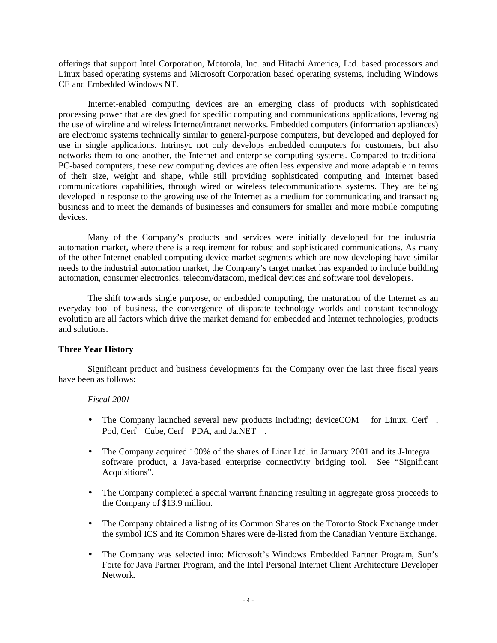offerings that support Intel Corporation, Motorola, Inc. and Hitachi America, Ltd. based processors and Linux based operating systems and Microsoft Corporation based operating systems, including Windows CE and Embedded Windows NT.

Internet-enabled computing devices are an emerging class of products with sophisticated processing power that are designed for specific computing and communications applications, leveraging the use of wireline and wireless Internet/intranet networks. Embedded computers (information appliances) are electronic systems technically similar to general-purpose computers, but developed and deployed for use in single applications. Intrinsyc not only develops embedded computers for customers, but also networks them to one another, the Internet and enterprise computing systems. Compared to traditional PC-based computers, these new computing devices are often less expensive and more adaptable in terms of their size, weight and shape, while still providing sophisticated computing and Internet based communications capabilities, through wired or wireless telecommunications systems. They are being developed in response to the growing use of the Internet as a medium for communicating and transacting business and to meet the demands of businesses and consumers for smaller and more mobile computing devices.

Many of the Company's products and services were initially developed for the industrial automation market, where there is a requirement for robust and sophisticated communications. As many of the other Internet-enabled computing device market segments which are now developing have similar needs to the industrial automation market, the Company's target market has expanded to include building automation, consumer electronics, telecom/datacom, medical devices and software tool developers.

The shift towards single purpose, or embedded computing, the maturation of the Internet as an everyday tool of business, the convergence of disparate technology worlds and constant technology evolution are all factors which drive the market demand for embedded and Internet technologies, products and solutions.

## **Three Year History**

Significant product and business developments for the Company over the last three fiscal years have been as follows:

#### *Fiscal 2001*

- The Company launched several new products including; deviceCOM<sup>TM</sup> for Linux, Cerf<sup>TM</sup>, Pod, Cerf<sup>TM</sup>Cube, Cerf<sup>TM</sup>PDA, and Ja.NET<sup>TM</sup>.
- The Company acquired 100% of the shares of Linar Ltd. in January 2001 and its J-Integra<sup>TM</sup> software product, a Java-based enterprise connectivity bridging tool. See "Significant Acquisitions".
- The Company completed a special warrant financing resulting in aggregate gross proceeds to the Company of \$13.9 million.
- The Company obtained a listing of its Common Shares on the Toronto Stock Exchange under the symbol ICS and its Common Shares were de-listed from the Canadian Venture Exchange.
- The Company was selected into: Microsoft's Windows Embedded Partner Program, Sun's Forte for Java Partner Program, and the Intel Personal Internet Client Architecture Developer Network.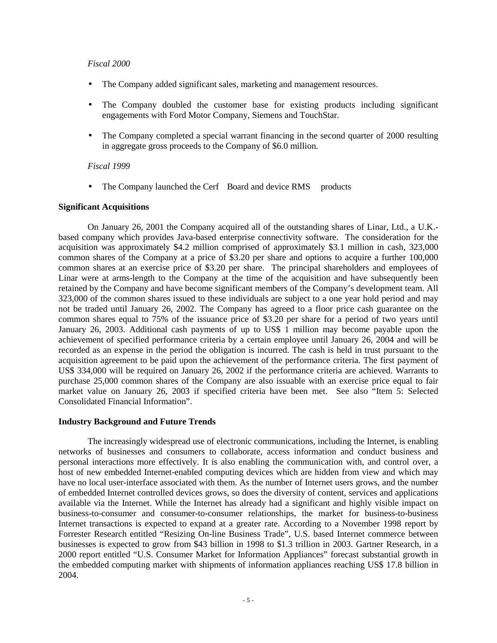#### *Fiscal 2000*

- The Company added significant sales, marketing and management resources.
- The Company doubled the customer base for existing products including significant engagements with Ford Motor Company, Siemens and TouchStar.
- The Company completed a special warrant financing in the second quarter of 2000 resulting in aggregate gross proceeds to the Company of \$6.0 million.

#### *Fiscal 1999*

• The Company launched the Cerf<sup>TM</sup>Board and device RMS<sup>TM</sup> products

#### **Significant Acquisitions**

On January 26, 2001 the Company acquired all of the outstanding shares of Linar, Ltd., a U.K. based company which provides Java-based enterprise connectivity software. The consideration for the acquisition was approximately \$4.2 million comprised of approximately \$3.1 million in cash, 323,000 common shares of the Company at a price of \$3.20 per share and options to acquire a further 100,000 common shares at an exercise price of \$3.20 per share. The principal shareholders and employees of Linar were at arms-length to the Company at the time of the acquisition and have subsequently been retained by the Company and have become significant members of the Company's development team. All 323,000 of the common shares issued to these individuals are subject to a one year hold period and may not be traded until January 26, 2002. The Company has agreed to a floor price cash guarantee on the common shares equal to 75% of the issuance price of \$3.20 per share for a period of two years until January 26, 2003. Additional cash payments of up to US\$ 1 million may become payable upon the achievement of specified performance criteria by a certain employee until January 26, 2004 and will be recorded as an expense in the period the obligation is incurred. The cash is held in trust pursuant to the acquisition agreement to be paid upon the achievement of the performance criteria. The first payment of US\$ 334,000 will be required on January 26, 2002 if the performance criteria are achieved. Warrants to purchase 25,000 common shares of the Company are also issuable with an exercise price equal to fair market value on January 26, 2003 if specified criteria have been met. See also "Item 5: Selected Consolidated Financial Information".

#### **Industry Background and Future Trends**

The increasingly widespread use of electronic communications, including the Internet, is enabling networks of businesses and consumers to collaborate, access information and conduct business and personal interactions more effectively. It is also enabling the communication with, and control over, a host of new embedded Internet-enabled computing devices which are hidden from view and which may have no local user-interface associated with them. As the number of Internet users grows, and the number of embedded Internet controlled devices grows, so does the diversity of content, services and applications available via the Internet. While the Internet has already had a significant and highly visible impact on business-to-consumer and consumer-to-consumer relationships, the market for business-to-business Internet transactions is expected to expand at a greater rate. According to a November 1998 report by Forrester Research entitled "Resizing On-line Business Trade", U.S. based Internet commerce between businesses is expected to grow from \$43 billion in 1998 to \$1.3 trillion in 2003. Gartner Research, in a 2000 report entitled "U.S. Consumer Market for Information Appliances" forecast substantial growth in the embedded computing market with shipments of information appliances reaching US\$ 17.8 billion in 2004.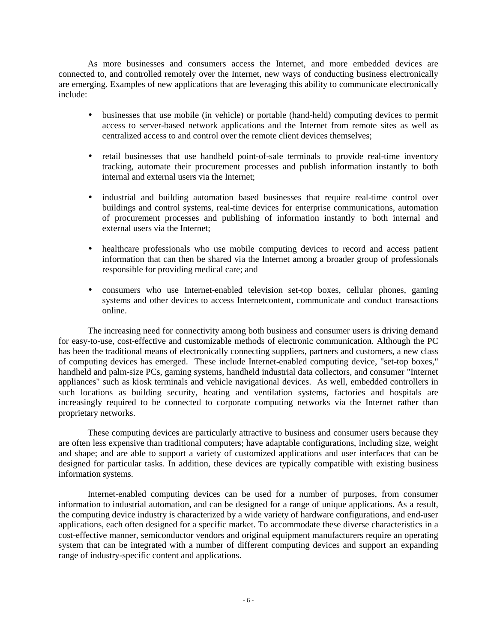As more businesses and consumers access the Internet, and more embedded devices are connected to, and controlled remotely over the Internet, new ways of conducting business electronically are emerging. Examples of new applications that are leveraging this ability to communicate electronically include:

- businesses that use mobile (in vehicle) or portable (hand-held) computing devices to permit access to server-based network applications and the Internet from remote sites as well as centralized access to and control over the remote client devices themselves;
- retail businesses that use handheld point-of-sale terminals to provide real-time inventory tracking, automate their procurement processes and publish information instantly to both internal and external users via the Internet;
- industrial and building automation based businesses that require real-time control over buildings and control systems, real-time devices for enterprise communications, automation of procurement processes and publishing of information instantly to both internal and external users via the Internet;
- healthcare professionals who use mobile computing devices to record and access patient information that can then be shared via the Internet among a broader group of professionals responsible for providing medical care; and
- consumers who use Internet-enabled television set-top boxes, cellular phones, gaming systems and other devices to access Internetcontent, communicate and conduct transactions online.

The increasing need for connectivity among both business and consumer users is driving demand for easy-to-use, cost-effective and customizable methods of electronic communication. Although the PC has been the traditional means of electronically connecting suppliers, partners and customers, a new class of computing devices has emerged. These include Internet-enabled computing device, "set-top boxes," handheld and palm-size PCs, gaming systems, handheld industrial data collectors, and consumer "Internet appliances" such as kiosk terminals and vehicle navigational devices. As well, embedded controllers in such locations as building security, heating and ventilation systems, factories and hospitals are increasingly required to be connected to corporate computing networks via the Internet rather than proprietary networks.

These computing devices are particularly attractive to business and consumer users because they are often less expensive than traditional computers; have adaptable configurations, including size, weight and shape; and are able to support a variety of customized applications and user interfaces that can be designed for particular tasks. In addition, these devices are typically compatible with existing business information systems.

Internet-enabled computing devices can be used for a number of purposes, from consumer information to industrial automation, and can be designed for a range of unique applications. As a result, the computing device industry is characterized by a wide variety of hardware configurations, and end-user applications, each often designed for a specific market. To accommodate these diverse characteristics in a cost-effective manner, semiconductor vendors and original equipment manufacturers require an operating system that can be integrated with a number of different computing devices and support an expanding range of industry-specific content and applications.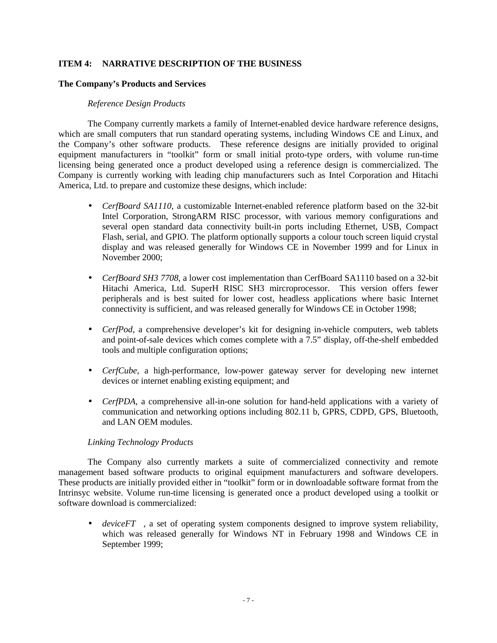## **ITEM 4: NARRATIVE DESCRIPTION OF THE BUSINESS**

#### **The Company's Products and Services**

#### *Reference Design Products*

The Company currently markets a family of Internet-enabled device hardware reference designs, which are small computers that run standard operating systems, including Windows CE and Linux, and the Company's other software products. These reference designs are initially provided to original equipment manufacturers in "toolkit" form or small initial proto-type orders, with volume run-time licensing being generated once a product developed using a reference design is commercialized. The Company is currently working with leading chip manufacturers such as Intel Corporation and Hitachi America, Ltd. to prepare and customize these designs, which include:

- *CerfBoard SA1110*, a customizable Internet-enabled reference platform based on the 32-bit Intel Corporation, StrongARM RISC processor, with various memory configurations and several open standard data connectivity built-in ports including Ethernet, USB, Compact Flash, serial, and GPIO. The platform optionally supports a colour touch screen liquid crystal display and was released generally for Windows CE in November 1999 and for Linux in November 2000;
- *CerfBoard SH3 7708*, a lower cost implementation than CerfBoard SA1110 based on a 32-bit Hitachi America, Ltd. SuperH RISC SH3 mircroprocessor. This version offers fewer peripherals and is best suited for lower cost, headless applications where basic Internet connectivity is sufficient, and was released generally for Windows CE in October 1998;
- *CerfPod,* a comprehensive developer's kit for designing in-vehicle computers, web tablets and point-of-sale devices which comes complete with a 7.5" display, off-the-shelf embedded tools and multiple configuration options;
- *CerfCube,* a high-performance, low-power gateway server for developing new internet devices or internet enabling existing equipment; and
- *CerfPDA,* a comprehensive all-in-one solution for hand-held applications with a variety of communication and networking options including 802.11 b, GPRS, CDPD, GPS, Bluetooth, and LAN OEM modules.

#### *Linking Technology Products*

The Company also currently markets a suite of commercialized connectivity and remote management based software products to original equipment manufacturers and software developers. These products are initially provided either in "toolkit" form or in downloadable software format from the Intrinsyc website. Volume run-time licensing is generated once a product developed using a toolkit or software download is commercialized:

• *deviceFT*<sup> $M$ </sup>, a set of operating system components designed to improve system reliability, which was released generally for Windows NT in February 1998 and Windows CE in September 1999;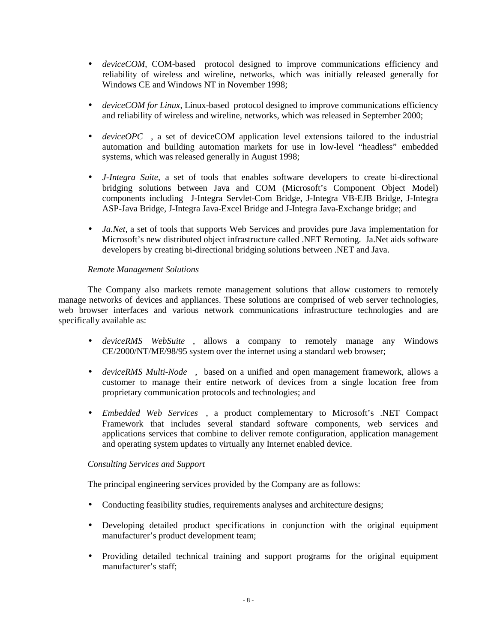- *deviceCOM*, COM-based protocol designed to improve communications efficiency and reliability of wireless and wireline, networks, which was initially released generally for Windows CE and Windows NT in November 1998;
- *deviceCOM for Linux*, Linux-based protocol designed to improve communications efficiency and reliability of wireless and wireline, networks, which was released in September 2000;
- *deviceOPC*<sup>™</sup>, a set of deviceCOM application level extensions tailored to the industrial automation and building automation markets for use in low-level "headless" embedded systems, which was released generally in August 1998;
- *J-Integra Suite*, a set of tools that enables software developers to create bi-directional bridging solutions between Java and COM (Microsoft's Component Object Model) components including J-Integra Servlet-Com Bridge, J-Integra VB-EJB Bridge, J-Integra ASP-Java Bridge, J-Integra Java-Excel Bridge and J-Integra Java-Exchange bridge; and
- *Ja.Net*, a set of tools that supports Web Services and provides pure Java implementation for Microsoft's new distributed object infrastructure called .NET Remoting. Ja.Net aids software developers by creating bi-directional bridging solutions between .NET and Java.

## *Remote Management Solutions*

The Company also markets remote management solutions that allow customers to remotely manage networks of devices and appliances. These solutions are comprised of web server technologies, web browser interfaces and various network communications infrastructure technologies and are specifically available as:

- *deviceRMS* WebSuite<sup>TM</sup>, allows a company to remotely manage any Windows CE/2000/NT/ME/98/95 system over the internet using a standard web browser;
- *deviceRMS Multi-Node*<sup> $TM$ </sup>, based on a unified and open management framework, allows a customer to manage their entire network of devices from a single location free from proprietary communication protocols and technologies; and
- *Embedded Web Services*<sup>TM</sup>, a product complementary to Microsoft's .NET Compact Framework that includes several standard software components, web services and applications services that combine to deliver remote configuration, application management and operating system updates to virtually any Internet enabled device.

## *Consulting Services and Support*

The principal engineering services provided by the Company are as follows:

- Conducting feasibility studies, requirements analyses and architecture designs;
- Developing detailed product specifications in conjunction with the original equipment manufacturer's product development team;
- Providing detailed technical training and support programs for the original equipment manufacturer's staff;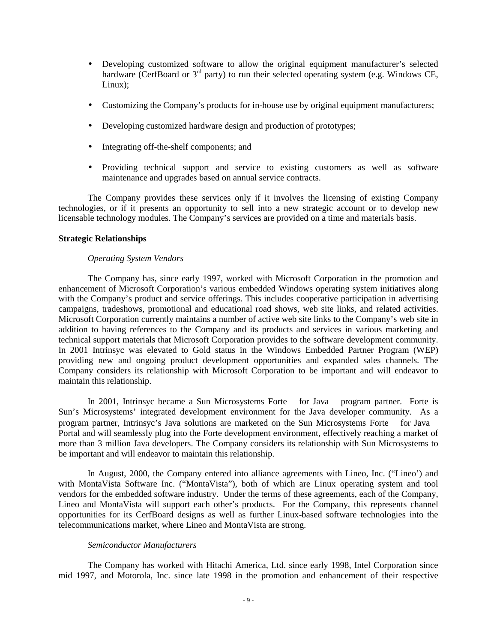- Developing customized software to allow the original equipment manufacturer's selected hardware (CerfBoard or 3<sup>rd</sup> party) to run their selected operating system (e.g. Windows CE, Linux);
- Customizing the Company's products for in-house use by original equipment manufacturers;
- Developing customized hardware design and production of prototypes;
- Integrating off-the-shelf components; and
- Providing technical support and service to existing customers as well as software maintenance and upgrades based on annual service contracts.

The Company provides these services only if it involves the licensing of existing Company technologies, or if it presents an opportunity to sell into a new strategic account or to develop new licensable technology modules. The Company's services are provided on a time and materials basis.

#### **Strategic Relationships**

#### *Operating System Vendors*

The Company has, since early 1997, worked with Microsoft Corporation in the promotion and enhancement of Microsoft Corporation's various embedded Windows operating system initiatives along with the Company's product and service offerings. This includes cooperative participation in advertising campaigns, tradeshows, promotional and educational road shows, web site links, and related activities. Microsoft Corporation currently maintains a number of active web site links to the Company's web site in addition to having references to the Company and its products and services in various marketing and technical support materials that Microsoft Corporation provides to the software development community. In 2001 Intrinsyc was elevated to Gold status in the Windows Embedded Partner Program (WEP) providing new and ongoing product development opportunities and expanded sales channels. The Company considers its relationship with Microsoft Corporation to be important and will endeavor to maintain this relationship.

In 2001, Intrinsyc became a Sun Microsystems Forte<sup>TM</sup> for Java<sup>TM</sup> program partner. Forte is Sun's Microsystems' integrated development environment for the Java developer community. As a program partner, Intrinsyc's Java solutions are marketed on the Sun Microsystems Forte<sup>TM</sup> for Java<sup>TM</sup> Portal and will seamlessly plug into the Forte development environment, effectively reaching a market of more than 3 million Java developers. The Company considers its relationship with Sun Microsystems to be important and will endeavor to maintain this relationship.

In August, 2000, the Company entered into alliance agreements with Lineo, Inc. ("Lineo') and with MontaVista Software Inc. ("MontaVista"), both of which are Linux operating system and tool vendors for the embedded software industry. Under the terms of these agreements, each of the Company, Lineo and MontaVista will support each other's products. For the Company, this represents channel opportunities for its CerfBoard designs as well as further Linux-based software technologies into the telecommunications market, where Lineo and MontaVista are strong.

#### *Semiconductor Manufacturers*

The Company has worked with Hitachi America, Ltd. since early 1998, Intel Corporation since mid 1997, and Motorola, Inc. since late 1998 in the promotion and enhancement of their respective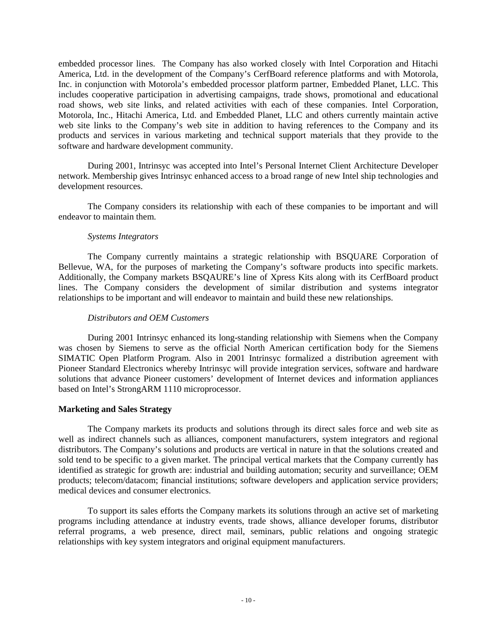embedded processor lines. The Company has also worked closely with Intel Corporation and Hitachi America, Ltd. in the development of the Company's CerfBoard reference platforms and with Motorola, Inc. in conjunction with Motorola's embedded processor platform partner, Embedded Planet, LLC. This includes cooperative participation in advertising campaigns, trade shows, promotional and educational road shows, web site links, and related activities with each of these companies. Intel Corporation, Motorola, Inc., Hitachi America, Ltd. and Embedded Planet, LLC and others currently maintain active web site links to the Company's web site in addition to having references to the Company and its products and services in various marketing and technical support materials that they provide to the software and hardware development community.

During 2001, Intrinsyc was accepted into Intel's Personal Internet Client Architecture Developer network. Membership gives Intrinsyc enhanced access to a broad range of new Intel ship technologies and development resources.

The Company considers its relationship with each of these companies to be important and will endeavor to maintain them.

#### *Systems Integrators*

The Company currently maintains a strategic relationship with BSQUARE Corporation of Bellevue, WA, for the purposes of marketing the Company's software products into specific markets. Additionally, the Company markets BSQAURE's line of Xpress Kits along with its CerfBoard product lines. The Company considers the development of similar distribution and systems integrator relationships to be important and will endeavor to maintain and build these new relationships.

#### *Distributors and OEM Customers*

During 2001 Intrinsyc enhanced its long-standing relationship with Siemens when the Company was chosen by Siemens to serve as the official North American certification body for the Siemens SIMATIC Open Platform Program. Also in 2001 Intrinsyc formalized a distribution agreement with Pioneer Standard Electronics whereby Intrinsyc will provide integration services, software and hardware solutions that advance Pioneer customers' development of Internet devices and information appliances based on Intel's StrongARM 1110 microprocessor.

#### **Marketing and Sales Strategy**

The Company markets its products and solutions through its direct sales force and web site as well as indirect channels such as alliances, component manufacturers, system integrators and regional distributors. The Company's solutions and products are vertical in nature in that the solutions created and sold tend to be specific to a given market. The principal vertical markets that the Company currently has identified as strategic for growth are: industrial and building automation; security and surveillance; OEM products; telecom/datacom; financial institutions; software developers and application service providers; medical devices and consumer electronics.

To support its sales efforts the Company markets its solutions through an active set of marketing programs including attendance at industry events, trade shows, alliance developer forums, distributor referral programs, a web presence, direct mail, seminars, public relations and ongoing strategic relationships with key system integrators and original equipment manufacturers.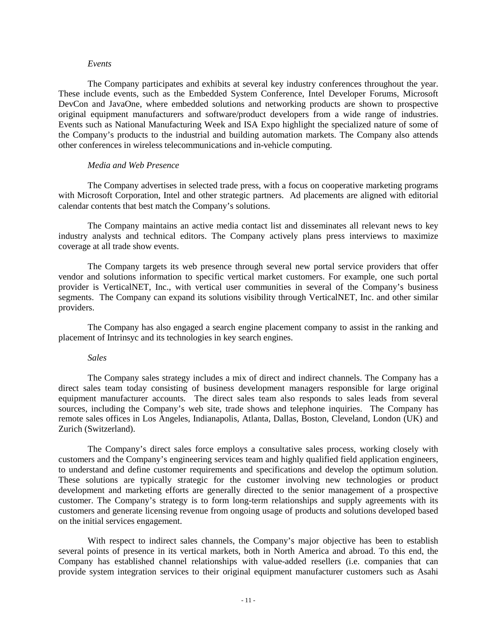#### *Events*

The Company participates and exhibits at several key industry conferences throughout the year. These include events, such as the Embedded System Conference, Intel Developer Forums, Microsoft DevCon and JavaOne, where embedded solutions and networking products are shown to prospective original equipment manufacturers and software/product developers from a wide range of industries. Events such as National Manufacturing Week and ISA Expo highlight the specialized nature of some of the Company's products to the industrial and building automation markets. The Company also attends other conferences in wireless telecommunications and in-vehicle computing.

#### *Media and Web Presence*

The Company advertises in selected trade press, with a focus on cooperative marketing programs with Microsoft Corporation, Intel and other strategic partners. Ad placements are aligned with editorial calendar contents that best match the Company's solutions.

The Company maintains an active media contact list and disseminates all relevant news to key industry analysts and technical editors. The Company actively plans press interviews to maximize coverage at all trade show events.

The Company targets its web presence through several new portal service providers that offer vendor and solutions information to specific vertical market customers. For example, one such portal provider is VerticalNET, Inc., with vertical user communities in several of the Company's business segments. The Company can expand its solutions visibility through VerticalNET, Inc. and other similar providers.

The Company has also engaged a search engine placement company to assist in the ranking and placement of Intrinsyc and its technologies in key search engines.

#### *Sales*

The Company sales strategy includes a mix of direct and indirect channels. The Company has a direct sales team today consisting of business development managers responsible for large original equipment manufacturer accounts. The direct sales team also responds to sales leads from several sources, including the Company's web site, trade shows and telephone inquiries. The Company has remote sales offices in Los Angeles, Indianapolis, Atlanta, Dallas, Boston, Cleveland, London (UK) and Zurich (Switzerland).

The Company's direct sales force employs a consultative sales process, working closely with customers and the Company's engineering services team and highly qualified field application engineers, to understand and define customer requirements and specifications and develop the optimum solution. These solutions are typically strategic for the customer involving new technologies or product development and marketing efforts are generally directed to the senior management of a prospective customer. The Company's strategy is to form long-term relationships and supply agreements with its customers and generate licensing revenue from ongoing usage of products and solutions developed based on the initial services engagement.

With respect to indirect sales channels, the Company's major objective has been to establish several points of presence in its vertical markets, both in North America and abroad. To this end, the Company has established channel relationships with value-added resellers (i.e. companies that can provide system integration services to their original equipment manufacturer customers such as Asahi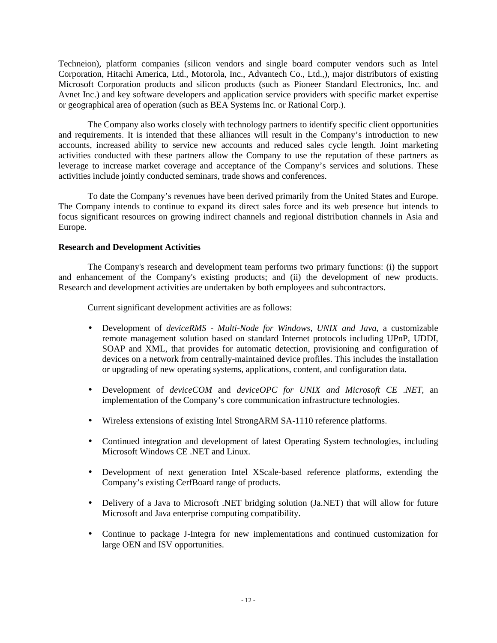Techneion), platform companies (silicon vendors and single board computer vendors such as Intel Corporation, Hitachi America, Ltd., Motorola, Inc., Advantech Co., Ltd.,), major distributors of existing Microsoft Corporation products and silicon products (such as Pioneer Standard Electronics, Inc. and Avnet Inc.) and key software developers and application service providers with specific market expertise or geographical area of operation (such as BEA Systems Inc. or Rational Corp.).

The Company also works closely with technology partners to identify specific client opportunities and requirements. It is intended that these alliances will result in the Company's introduction to new accounts, increased ability to service new accounts and reduced sales cycle length. Joint marketing activities conducted with these partners allow the Company to use the reputation of these partners as leverage to increase market coverage and acceptance of the Company's services and solutions. These activities include jointly conducted seminars, trade shows and conferences.

To date the Company's revenues have been derived primarily from the United States and Europe. The Company intends to continue to expand its direct sales force and its web presence but intends to focus significant resources on growing indirect channels and regional distribution channels in Asia and Europe.

#### **Research and Development Activities**

The Company's research and development team performs two primary functions: (i) the support and enhancement of the Company's existing products; and (ii) the development of new products. Research and development activities are undertaken by both employees and subcontractors.

Current significant development activities are as follows:

- Development of *deviceRMS Multi-Node for Windows, UNIX and Java*, a customizable remote management solution based on standard Internet protocols including UPnP, UDDI, SOAP and XML, that provides for automatic detection, provisioning and configuration of devices on a network from centrally-maintained device profiles. This includes the installation or upgrading of new operating systems, applications, content, and configuration data.
- Development of *deviceCOM* and *deviceOPC for UNIX and Microsoft CE .NET*, an implementation of the Company's core communication infrastructure technologies.
- Wireless extensions of existing Intel StrongARM SA-1110 reference platforms.
- Continued integration and development of latest Operating System technologies, including Microsoft Windows CE .NET and Linux.
- Development of next generation Intel XScale-based reference platforms, extending the Company's existing CerfBoard range of products.
- Delivery of a Java to Microsoft .NET bridging solution (Ja.NET) that will allow for future Microsoft and Java enterprise computing compatibility.
- Continue to package J-Integra for new implementations and continued customization for large OEN and ISV opportunities.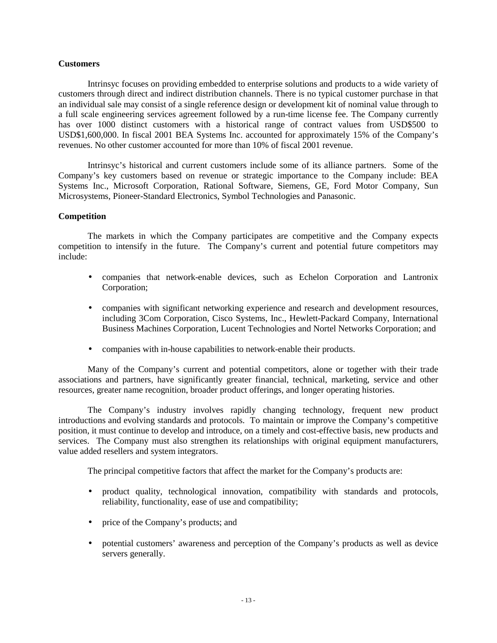#### **Customers**

Intrinsyc focuses on providing embedded to enterprise solutions and products to a wide variety of customers through direct and indirect distribution channels. There is no typical customer purchase in that an individual sale may consist of a single reference design or development kit of nominal value through to a full scale engineering services agreement followed by a run-time license fee. The Company currently has over 1000 distinct customers with a historical range of contract values from USD\$500 to USD\$1,600,000. In fiscal 2001 BEA Systems Inc. accounted for approximately 15% of the Company's revenues. No other customer accounted for more than 10% of fiscal 2001 revenue.

Intrinsyc's historical and current customers include some of its alliance partners. Some of the Company's key customers based on revenue or strategic importance to the Company include: BEA Systems Inc., Microsoft Corporation, Rational Software, Siemens, GE, Ford Motor Company, Sun Microsystems, Pioneer-Standard Electronics, Symbol Technologies and Panasonic.

#### **Competition**

The markets in which the Company participates are competitive and the Company expects competition to intensify in the future. The Company's current and potential future competitors may include:

- companies that network-enable devices, such as Echelon Corporation and Lantronix Corporation;
- companies with significant networking experience and research and development resources, including 3Com Corporation, Cisco Systems, Inc., Hewlett-Packard Company, International Business Machines Corporation, Lucent Technologies and Nortel Networks Corporation; and
- companies with in-house capabilities to network-enable their products.

Many of the Company's current and potential competitors, alone or together with their trade associations and partners, have significantly greater financial, technical, marketing, service and other resources, greater name recognition, broader product offerings, and longer operating histories.

The Company's industry involves rapidly changing technology, frequent new product introductions and evolving standards and protocols. To maintain or improve the Company's competitive position, it must continue to develop and introduce, on a timely and cost-effective basis, new products and services. The Company must also strengthen its relationships with original equipment manufacturers, value added resellers and system integrators.

The principal competitive factors that affect the market for the Company's products are:

- product quality, technological innovation, compatibility with standards and protocols, reliability, functionality, ease of use and compatibility;
- price of the Company's products; and
- potential customers' awareness and perception of the Company's products as well as device servers generally.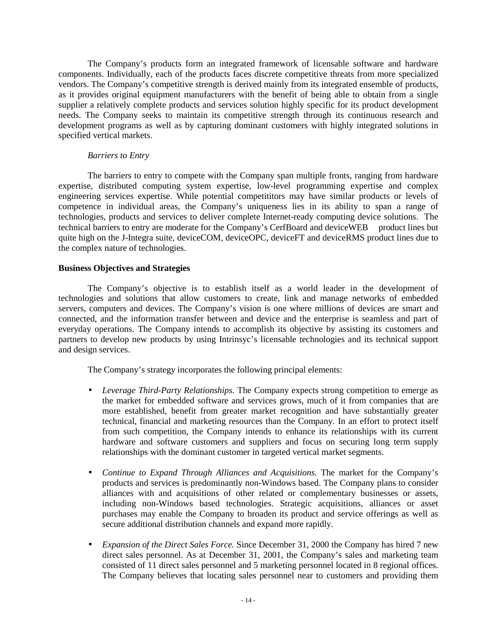The Company's products form an integrated framework of licensable software and hardware components. Individually, each of the products faces discrete competitive threats from more specialized vendors. The Company's competitive strength is derived mainly from its integrated ensemble of products, as it provides original equipment manufacturers with the benefit of being able to obtain from a single supplier a relatively complete products and services solution highly specific for its product development needs. The Company seeks to maintain its competitive strength through its continuous research and development programs as well as by capturing dominant customers with highly integrated solutions in specified vertical markets.

#### *Barriers to Entry*

The barriers to entry to compete with the Company span multiple fronts, ranging from hardware expertise, distributed computing system expertise, low-level programming expertise and complex engineering services expertise. While potential competititors may have similar products or levels of competence in individual areas, the Company's uniqueness lies in its ability to span a range of technologies, products and services to deliver complete Internet-ready computing device solutions. The technical barriers to entry are moderate for the Company's CerfBoard and deviceWEB™ product lines but quite high on the J-Integra suite, deviceCOM, deviceOPC, deviceFT and deviceRMS product lines due to the complex nature of technologies.

## **Business Objectives and Strategies**

The Company's objective is to establish itself as a world leader in the development of technologies and solutions that allow customers to create, link and manage networks of embedded servers, computers and devices. The Company's vision is one where millions of devices are smart and connected, and the information transfer between and device and the enterprise is seamless and part of everyday operations. The Company intends to accomplish its objective by assisting its customers and partners to develop new products by using Intrinsyc's licensable technologies and its technical support and design services.

The Company's strategy incorporates the following principal elements:

- *Leverage Third-Party Relationships.* The Company expects strong competition to emerge as the market for embedded software and services grows, much of it from companies that are more established, benefit from greater market recognition and have substantially greater technical, financial and marketing resources than the Company. In an effort to protect itself from such competition, the Company intends to enhance its relationships with its current hardware and software customers and suppliers and focus on securing long term supply relationships with the dominant customer in targeted vertical market segments.
- *Continue to Expand Through Alliances and Acquisitions.* The market for the Company's products and services is predominantly non-Windows based. The Company plans to consider alliances with and acquisitions of other related or complementary businesses or assets, including non-Windows based technologies. Strategic acquisitions, alliances or asset purchases may enable the Company to broaden its product and service offerings as well as secure additional distribution channels and expand more rapidly.
- *Expansion of the Direct Sales Force.* Since December 31, 2000 the Company has hired 7 new direct sales personnel. As at December 31, 2001, the Company's sales and marketing team consisted of 11 direct sales personnel and 5 marketing personnel located in 8 regional offices. The Company believes that locating sales personnel near to customers and providing them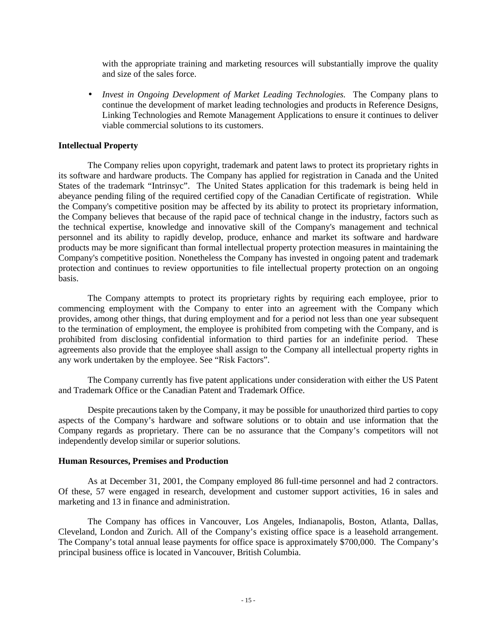with the appropriate training and marketing resources will substantially improve the quality and size of the sales force.

• *Invest in Ongoing Development of Market Leading Technologies.* The Company plans to continue the development of market leading technologies and products in Reference Designs, Linking Technologies and Remote Management Applications to ensure it continues to deliver viable commercial solutions to its customers.

## **Intellectual Property**

The Company relies upon copyright, trademark and patent laws to protect its proprietary rights in its software and hardware products. The Company has applied for registration in Canada and the United States of the trademark "Intrinsyc". The United States application for this trademark is being held in abeyance pending filing of the required certified copy of the Canadian Certificate of registration. While the Company's competitive position may be affected by its ability to protect its proprietary information, the Company believes that because of the rapid pace of technical change in the industry, factors such as the technical expertise, knowledge and innovative skill of the Company's management and technical personnel and its ability to rapidly develop, produce, enhance and market its software and hardware products may be more significant than formal intellectual property protection measures in maintaining the Company's competitive position. Nonetheless the Company has invested in ongoing patent and trademark protection and continues to review opportunities to file intellectual property protection on an ongoing basis.

The Company attempts to protect its proprietary rights by requiring each employee, prior to commencing employment with the Company to enter into an agreement with the Company which provides, among other things, that during employment and for a period not less than one year subsequent to the termination of employment, the employee is prohibited from competing with the Company, and is prohibited from disclosing confidential information to third parties for an indefinite period. These agreements also provide that the employee shall assign to the Company all intellectual property rights in any work undertaken by the employee. See "Risk Factors".

The Company currently has five patent applications under consideration with either the US Patent and Trademark Office or the Canadian Patent and Trademark Office.

Despite precautions taken by the Company, it may be possible for unauthorized third parties to copy aspects of the Company's hardware and software solutions or to obtain and use information that the Company regards as proprietary. There can be no assurance that the Company's competitors will not independently develop similar or superior solutions.

#### **Human Resources, Premises and Production**

As at December 31, 2001, the Company employed 86 full-time personnel and had 2 contractors. Of these, 57 were engaged in research, development and customer support activities, 16 in sales and marketing and 13 in finance and administration.

The Company has offices in Vancouver, Los Angeles, Indianapolis, Boston, Atlanta, Dallas, Cleveland, London and Zurich. All of the Company's existing office space is a leasehold arrangement. The Company's total annual lease payments for office space is approximately \$700,000. The Company's principal business office is located in Vancouver, British Columbia.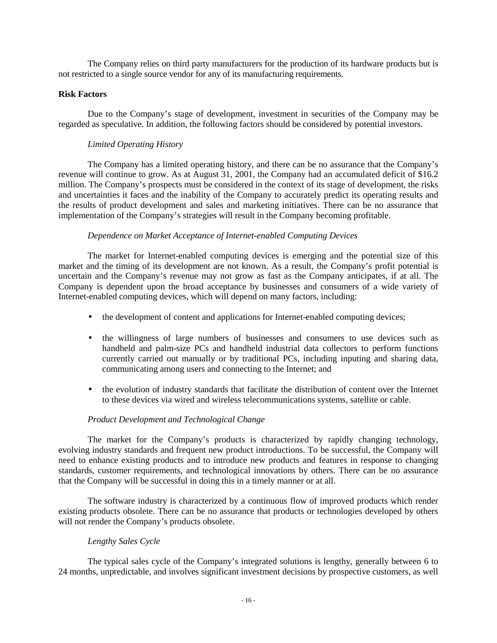The Company relies on third party manufacturers for the production of its hardware products but is not restricted to a single source vendor for any of its manufacturing requirements.

## **Risk Factors**

Due to the Company's stage of development, investment in securities of the Company may be regarded as speculative. In addition, the following factors should be considered by potential investors.

## *Limited Operating History*

The Company has a limited operating history, and there can be no assurance that the Company's revenue will continue to grow. As at August 31, 2001, the Company had an accumulated deficit of \$16.2 million. The Company's prospects must be considered in the context of its stage of development, the risks and uncertainties it faces and the inability of the Company to accurately predict its operating results and the results of product development and sales and marketing initiatives. There can be no assurance that implementation of the Company's strategies will result in the Company becoming profitable.

## *Dependence on Market Acceptance of Internet-enabled Computing Devices*

The market for Internet-enabled computing devices is emerging and the potential size of this market and the timing of its development are not known. As a result, the Company's profit potential is uncertain and the Company's revenue may not grow as fast as the Company anticipates, if at all. The Company is dependent upon the broad acceptance by businesses and consumers of a wide variety of Internet-enabled computing devices, which will depend on many factors, including:

- the development of content and applications for Internet-enabled computing devices;
- the willingness of large numbers of businesses and consumers to use devices such as handheld and palm-size PCs and handheld industrial data collectors to perform functions currently carried out manually or by traditional PCs, including inputing and sharing data, communicating among users and connecting to the Internet; and
- the evolution of industry standards that facilitate the distribution of content over the Internet to these devices via wired and wireless telecommunications systems, satellite or cable.

## *Product Development and Technological Change*

The market for the Company's products is characterized by rapidly changing technology, evolving industry standards and frequent new product introductions. To be successful, the Company will need to enhance existing products and to introduce new products and features in response to changing standards, customer requirements, and technological innovations by others. There can be no assurance that the Company will be successful in doing this in a timely manner or at all.

The software industry is characterized by a continuous flow of improved products which render existing products obsolete. There can be no assurance that products or technologies developed by others will not render the Company's products obsolete.

## *Lengthy Sales Cycle*

The typical sales cycle of the Company's integrated solutions is lengthy, generally between 6 to 24 months, unpredictable, and involves significant investment decisions by prospective customers, as well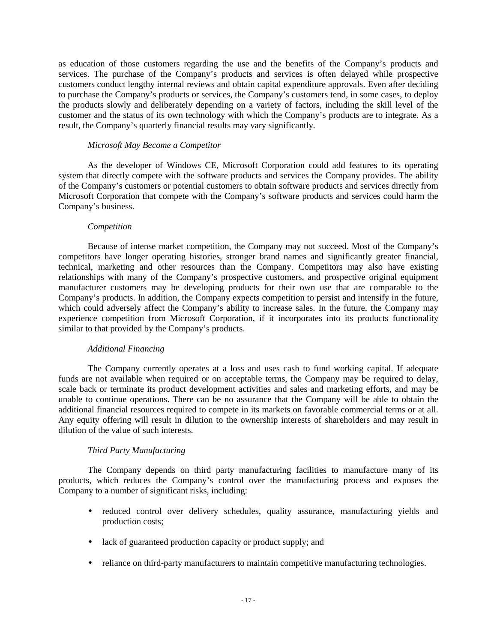as education of those customers regarding the use and the benefits of the Company's products and services. The purchase of the Company's products and services is often delayed while prospective customers conduct lengthy internal reviews and obtain capital expenditure approvals. Even after deciding to purchase the Company's products or services, the Company's customers tend, in some cases, to deploy the products slowly and deliberately depending on a variety of factors, including the skill level of the customer and the status of its own technology with which the Company's products are to integrate. As a result, the Company's quarterly financial results may vary significantly.

## *Microsoft May Become a Competitor*

As the developer of Windows CE, Microsoft Corporation could add features to its operating system that directly compete with the software products and services the Company provides. The ability of the Company's customers or potential customers to obtain software products and services directly from Microsoft Corporation that compete with the Company's software products and services could harm the Company's business.

## *Competition*

Because of intense market competition, the Company may not succeed. Most of the Company's competitors have longer operating histories, stronger brand names and significantly greater financial, technical, marketing and other resources than the Company. Competitors may also have existing relationships with many of the Company's prospective customers, and prospective original equipment manufacturer customers may be developing products for their own use that are comparable to the Company's products. In addition, the Company expects competition to persist and intensify in the future, which could adversely affect the Company's ability to increase sales. In the future, the Company may experience competition from Microsoft Corporation, if it incorporates into its products functionality similar to that provided by the Company's products.

## *Additional Financing*

The Company currently operates at a loss and uses cash to fund working capital. If adequate funds are not available when required or on acceptable terms, the Company may be required to delay, scale back or terminate its product development activities and sales and marketing efforts, and may be unable to continue operations. There can be no assurance that the Company will be able to obtain the additional financial resources required to compete in its markets on favorable commercial terms or at all. Any equity offering will result in dilution to the ownership interests of shareholders and may result in dilution of the value of such interests.

## *Third Party Manufacturing*

The Company depends on third party manufacturing facilities to manufacture many of its products, which reduces the Company's control over the manufacturing process and exposes the Company to a number of significant risks, including:

- reduced control over delivery schedules, quality assurance, manufacturing yields and production costs;
- lack of guaranteed production capacity or product supply; and
- reliance on third-party manufacturers to maintain competitive manufacturing technologies.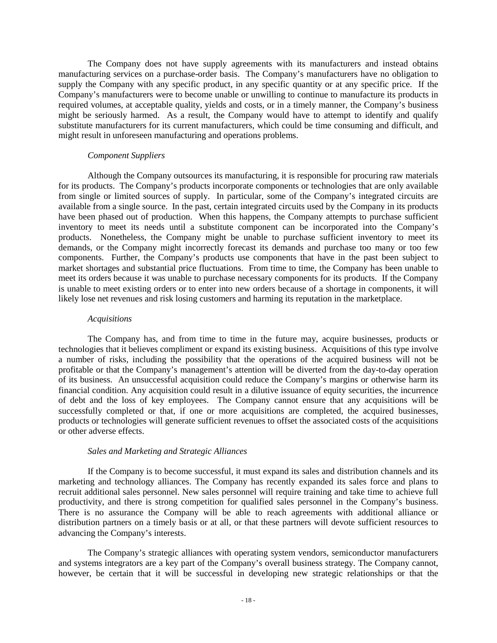The Company does not have supply agreements with its manufacturers and instead obtains manufacturing services on a purchase-order basis. The Company's manufacturers have no obligation to supply the Company with any specific product, in any specific quantity or at any specific price. If the Company's manufacturers were to become unable or unwilling to continue to manufacture its products in required volumes, at acceptable quality, yields and costs, or in a timely manner, the Company's business might be seriously harmed. As a result, the Company would have to attempt to identify and qualify substitute manufacturers for its current manufacturers, which could be time consuming and difficult, and might result in unforeseen manufacturing and operations problems.

#### *Component Suppliers*

Although the Company outsources its manufacturing, it is responsible for procuring raw materials for its products. The Company's products incorporate components or technologies that are only available from single or limited sources of supply. In particular, some of the Company's integrated circuits are available from a single source. In the past, certain integrated circuits used by the Company in its products have been phased out of production. When this happens, the Company attempts to purchase sufficient inventory to meet its needs until a substitute component can be incorporated into the Company's products. Nonetheless, the Company might be unable to purchase sufficient inventory to meet its demands, or the Company might incorrectly forecast its demands and purchase too many or too few components. Further, the Company's products use components that have in the past been subject to market shortages and substantial price fluctuations. From time to time, the Company has been unable to meet its orders because it was unable to purchase necessary components for its products. If the Company is unable to meet existing orders or to enter into new orders because of a shortage in components, it will likely lose net revenues and risk losing customers and harming its reputation in the marketplace.

#### *Acquisitions*

The Company has, and from time to time in the future may, acquire businesses, products or technologies that it believes compliment or expand its existing business. Acquisitions of this type involve a number of risks, including the possibility that the operations of the acquired business will not be profitable or that the Company's management's attention will be diverted from the day-to-day operation of its business. An unsuccessful acquisition could reduce the Company's margins or otherwise harm its financial condition. Any acquisition could result in a dilutive issuance of equity securities, the incurrence of debt and the loss of key employees. The Company cannot ensure that any acquisitions will be successfully completed or that, if one or more acquisitions are completed, the acquired businesses, products or technologies will generate sufficient revenues to offset the associated costs of the acquisitions or other adverse effects.

## *Sales and Marketing and Strategic Alliances*

If the Company is to become successful, it must expand its sales and distribution channels and its marketing and technology alliances. The Company has recently expanded its sales force and plans to recruit additional sales personnel. New sales personnel will require training and take time to achieve full productivity, and there is strong competition for qualified sales personnel in the Company's business. There is no assurance the Company will be able to reach agreements with additional alliance or distribution partners on a timely basis or at all, or that these partners will devote sufficient resources to advancing the Company's interests.

The Company's strategic alliances with operating system vendors, semiconductor manufacturers and systems integrators are a key part of the Company's overall business strategy. The Company cannot, however, be certain that it will be successful in developing new strategic relationships or that the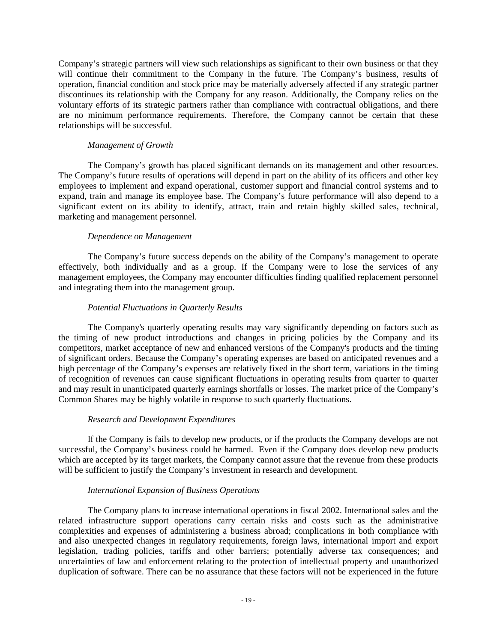Company's strategic partners will view such relationships as significant to their own business or that they will continue their commitment to the Company in the future. The Company's business, results of operation, financial condition and stock price may be materially adversely affected if any strategic partner discontinues its relationship with the Company for any reason. Additionally, the Company relies on the voluntary efforts of its strategic partners rather than compliance with contractual obligations, and there are no minimum performance requirements. Therefore, the Company cannot be certain that these relationships will be successful.

## *Management of Growth*

The Company's growth has placed significant demands on its management and other resources. The Company's future results of operations will depend in part on the ability of its officers and other key employees to implement and expand operational, customer support and financial control systems and to expand, train and manage its employee base. The Company's future performance will also depend to a significant extent on its ability to identify, attract, train and retain highly skilled sales, technical, marketing and management personnel.

## *Dependence on Management*

The Company's future success depends on the ability of the Company's management to operate effectively, both individually and as a group. If the Company were to lose the services of any management employees, the Company may encounter difficulties finding qualified replacement personnel and integrating them into the management group.

## *Potential Fluctuations in Quarterly Results*

The Company's quarterly operating results may vary significantly depending on factors such as the timing of new product introductions and changes in pricing policies by the Company and its competitors, market acceptance of new and enhanced versions of the Company's products and the timing of significant orders. Because the Company's operating expenses are based on anticipated revenues and a high percentage of the Company's expenses are relatively fixed in the short term, variations in the timing of recognition of revenues can cause significant fluctuations in operating results from quarter to quarter and may result in unanticipated quarterly earnings shortfalls or losses. The market price of the Company's Common Shares may be highly volatile in response to such quarterly fluctuations.

## *Research and Development Expenditures*

If the Company is fails to develop new products, or if the products the Company develops are not successful, the Company's business could be harmed. Even if the Company does develop new products which are accepted by its target markets, the Company cannot assure that the revenue from these products will be sufficient to justify the Company's investment in research and development.

## *International Expansion of Business Operations*

The Company plans to increase international operations in fiscal 2002. International sales and the related infrastructure support operations carry certain risks and costs such as the administrative complexities and expenses of administering a business abroad; complications in both compliance with and also unexpected changes in regulatory requirements, foreign laws, international import and export legislation, trading policies, tariffs and other barriers; potentially adverse tax consequences; and uncertainties of law and enforcement relating to the protection of intellectual property and unauthorized duplication of software. There can be no assurance that these factors will not be experienced in the future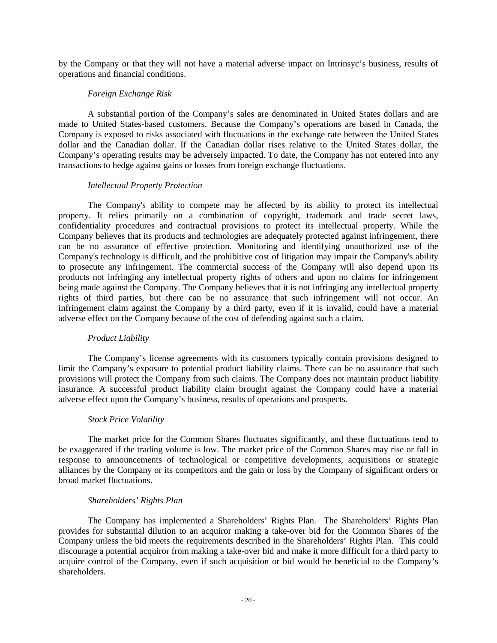by the Company or that they will not have a material adverse impact on Intrinsyc's business, results of operations and financial conditions.

## *Foreign Exchange Risk*

A substantial portion of the Company's sales are denominated in United States dollars and are made to United States-based customers. Because the Company's operations are based in Canada, the Company is exposed to risks associated with fluctuations in the exchange rate between the United States dollar and the Canadian dollar. If the Canadian dollar rises relative to the United States dollar, the Company's operating results may be adversely impacted. To date, the Company has not entered into any transactions to hedge against gains or losses from foreign exchange fluctuations.

#### *Intellectual Property Protection*

The Company's ability to compete may be affected by its ability to protect its intellectual property. It relies primarily on a combination of copyright, trademark and trade secret laws, confidentiality procedures and contractual provisions to protect its intellectual property. While the Company believes that its products and technologies are adequately protected against infringement, there can be no assurance of effective protection. Monitoring and identifying unauthorized use of the Company's technology is difficult, and the prohibitive cost of litigation may impair the Company's ability to prosecute any infringement. The commercial success of the Company will also depend upon its products not infringing any intellectual property rights of others and upon no claims for infringement being made against the Company. The Company believes that it is not infringing any intellectual property rights of third parties, but there can be no assurance that such infringement will not occur. An infringement claim against the Company by a third party, even if it is invalid, could have a material adverse effect on the Company because of the cost of defending against such a claim.

#### *Product Liability*

The Company's license agreements with its customers typically contain provisions designed to limit the Company's exposure to potential product liability claims. There can be no assurance that such provisions will protect the Company from such claims. The Company does not maintain product liability insurance. A successful product liability claim brought against the Company could have a material adverse effect upon the Company's business, results of operations and prospects.

#### *Stock Price Volatility*

The market price for the Common Shares fluctuates significantly, and these fluctuations tend to be exaggerated if the trading volume is low. The market price of the Common Shares may rise or fall in response to announcements of technological or competitive developments, acquisitions or strategic alliances by the Company or its competitors and the gain or loss by the Company of significant orders or broad market fluctuations.

## *Shareholders' Rights Plan*

The Company has implemented a Shareholders' Rights Plan. The Shareholders' Rights Plan provides for substantial dilution to an acquiror making a take-over bid for the Common Shares of the Company unless the bid meets the requirements described in the Shareholders' Rights Plan. This could discourage a potential acquiror from making a take-over bid and make it more difficult for a third party to acquire control of the Company, even if such acquisition or bid would be beneficial to the Company's shareholders.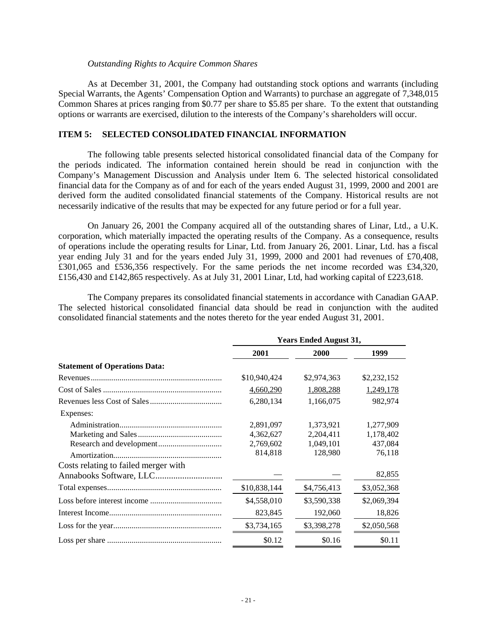#### *Outstanding Rights to Acquire Common Shares*

As at December 31, 2001, the Company had outstanding stock options and warrants (including Special Warrants, the Agents' Compensation Option and Warrants) to purchase an aggregate of 7,348,015 Common Shares at prices ranging from \$0.77 per share to \$5.85 per share. To the extent that outstanding options or warrants are exercised, dilution to the interests of the Company's shareholders will occur.

## **ITEM 5: SELECTED CONSOLIDATED FINANCIAL INFORMATION**

The following table presents selected historical consolidated financial data of the Company for the periods indicated. The information contained herein should be read in conjunction with the Company's Management Discussion and Analysis under Item 6. The selected historical consolidated financial data for the Company as of and for each of the years ended August 31, 1999, 2000 and 2001 are derived form the audited consolidated financial statements of the Company. Historical results are not necessarily indicative of the results that may be expected for any future period or for a full year.

On January 26, 2001 the Company acquired all of the outstanding shares of Linar, Ltd., a U.K. corporation, which materially impacted the operating results of the Company. As a consequence, results of operations include the operating results for Linar, Ltd. from January 26, 2001. Linar, Ltd. has a fiscal year ending July 31 and for the years ended July 31, 1999, 2000 and 2001 had revenues of £70,408, £301,065 and £536,356 respectively. For the same periods the net income recorded was £34,320, £156,430 and £142,865 respectively. As at July 31, 2001 Linar, Ltd, had working capital of £223,618.

The Company prepares its consolidated financial statements in accordance with Canadian GAAP. The selected historical consolidated financial data should be read in conjunction with the audited consolidated financial statements and the notes thereto for the year ended August 31, 2001.

|                                      | <b>Years Ended August 31,</b> |             |             |
|--------------------------------------|-------------------------------|-------------|-------------|
|                                      | 2001                          | <b>2000</b> | 1999        |
| <b>Statement of Operations Data:</b> |                               |             |             |
|                                      | \$10,940,424                  | \$2,974,363 | \$2,232,152 |
|                                      | 4,660,290                     | 1,808,288   | 1,249,178   |
|                                      | 6,280,134                     | 1,166,075   | 982,974     |
| Expenses:                            |                               |             |             |
|                                      | 2,891,097                     | 1,373,921   | 1,277,909   |
|                                      | 4,362,627                     | 2,204,411   | 1,178,402   |
|                                      | 2,769,602                     | 1,049,101   | 437,084     |
|                                      | 814,818                       | 128,980     | 76,118      |
| Costs relating to failed merger with |                               |             |             |
|                                      |                               |             | 82,855      |
|                                      | \$10,838,144                  | \$4,756,413 | \$3,052,368 |
|                                      | \$4,558,010                   | \$3,590,338 | \$2,069,394 |
|                                      | 823,845                       | 192,060     | 18,826      |
|                                      | \$3,734,165                   | \$3,398,278 | \$2,050,568 |
|                                      | \$0.12                        | \$0.16      | \$0.11      |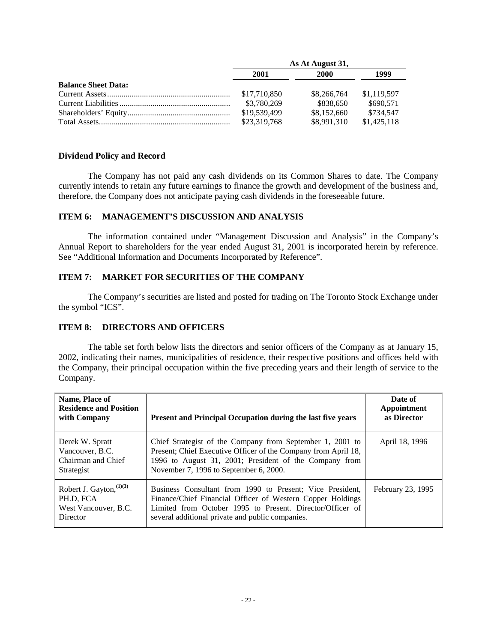|                            | As At August 31, |             |             |
|----------------------------|------------------|-------------|-------------|
|                            | 2001             | 2000        | 1999        |
| <b>Balance Sheet Data:</b> |                  |             |             |
|                            | \$17,710,850     | \$8,266,764 | \$1,119,597 |
|                            | \$3,780,269      | \$838,650   | \$690.571   |
|                            | \$19,539,499     | \$8,152,660 | \$734,547   |
|                            | \$23,319,768     | \$8,991,310 | \$1,425,118 |

#### **Dividend Policy and Record**

The Company has not paid any cash dividends on its Common Shares to date. The Company currently intends to retain any future earnings to finance the growth and development of the business and, therefore, the Company does not anticipate paying cash dividends in the foreseeable future.

## **ITEM 6: MANAGEMENT'S DISCUSSION AND ANALYSIS**

The information contained under "Management Discussion and Analysis" in the Company's Annual Report to shareholders for the year ended August 31, 2001 is incorporated herein by reference. See "Additional Information and Documents Incorporated by Reference".

## **ITEM 7: MARKET FOR SECURITIES OF THE COMPANY**

The Company's securities are listed and posted for trading on The Toronto Stock Exchange under the symbol "ICS".

## **ITEM 8: DIRECTORS AND OFFICERS**

The table set forth below lists the directors and senior officers of the Company as at January 15, 2002, indicating their names, municipalities of residence, their respective positions and offices held with the Company, their principal occupation within the five preceding years and their length of service to the Company.

| Name, Place of<br><b>Residence and Position</b><br>with Company             | Present and Principal Occupation during the last five years                                                                                                                                                                              | Date of<br>Appointment<br>as Director |
|-----------------------------------------------------------------------------|------------------------------------------------------------------------------------------------------------------------------------------------------------------------------------------------------------------------------------------|---------------------------------------|
| Derek W. Spratt<br>Vancouver, B.C.<br>Chairman and Chief<br>Strategist      | Chief Strategist of the Company from September 1, 2001 to<br>Present; Chief Executive Officer of the Company from April 18,<br>1996 to August 31, 2001; President of the Company from<br>November 7, 1996 to September 6, 2000.          | April 18, 1996                        |
| Robert J. Gayton, $(1)(3)$<br>PH.D, FCA<br>West Vancouver, B.C.<br>Director | Business Consultant from 1990 to Present; Vice President,<br>Finance/Chief Financial Officer of Western Copper Holdings<br>Limited from October 1995 to Present. Director/Officer of<br>several additional private and public companies. | February 23, 1995                     |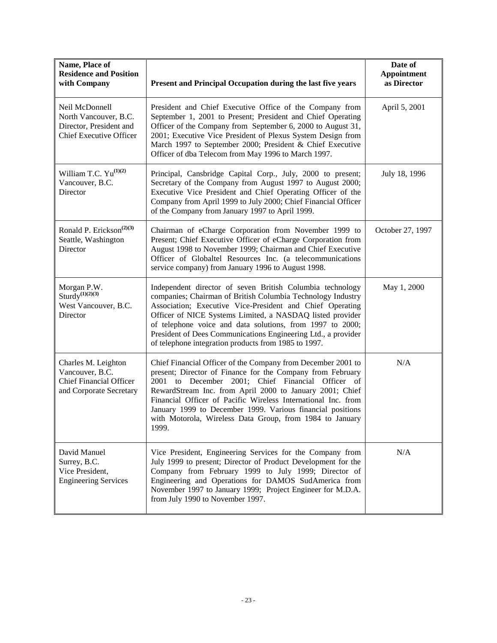| Name, Place of<br><b>Residence and Position</b><br>with Company                                      | Present and Principal Occupation during the last five years                                                                                                                                                                                                                                                                                                                                                                                     | Date of<br>Appointment<br>as Director |
|------------------------------------------------------------------------------------------------------|-------------------------------------------------------------------------------------------------------------------------------------------------------------------------------------------------------------------------------------------------------------------------------------------------------------------------------------------------------------------------------------------------------------------------------------------------|---------------------------------------|
| Neil McDonnell<br>North Vancouver, B.C.<br>Director, President and<br><b>Chief Executive Officer</b> | President and Chief Executive Office of the Company from<br>September 1, 2001 to Present; President and Chief Operating<br>Officer of the Company from September 6, 2000 to August 31,<br>2001; Executive Vice President of Plexus System Design from<br>March 1997 to September 2000; President & Chief Executive<br>Officer of dba Telecom from May 1996 to March 1997.                                                                       | April 5, 2001                         |
| William T.C. $Yu^{(1)(2)}$<br>Vancouver, B.C.<br>Director                                            | Principal, Cansbridge Capital Corp., July, 2000 to present;<br>Secretary of the Company from August 1997 to August 2000;<br>Executive Vice President and Chief Operating Officer of the<br>Company from April 1999 to July 2000; Chief Financial Officer<br>of the Company from January 1997 to April 1999.                                                                                                                                     | July 18, 1996                         |
| Ronald P. Erickson <sup>(2)(3)</sup><br>Seattle, Washington<br>Director                              | Chairman of eCharge Corporation from November 1999 to<br>Present; Chief Executive Officer of eCharge Corporation from<br>August 1998 to November 1999; Chairman and Chief Executive<br>Officer of Globaltel Resources Inc. (a telecommunications<br>service company) from January 1996 to August 1998.                                                                                                                                          | October 27, 1997                      |
| Morgan P.W.<br>Sturdy <sup>(1)(2)(3)</sup><br>West Vancouver, B.C.<br>Director                       | Independent director of seven British Columbia technology<br>companies; Chairman of British Columbia Technology Industry<br>Association; Executive Vice-President and Chief Operating<br>Officer of NICE Systems Limited, a NASDAQ listed provider<br>of telephone voice and data solutions, from 1997 to 2000;<br>President of Dees Communications Engineering Ltd., a provider<br>of telephone integration products from 1985 to 1997.        | May 1, 2000                           |
| Charles M. Leighton<br>Vancouver, B.C.<br><b>Chief Financial Officer</b><br>and Corporate Secretary  | Chief Financial Officer of the Company from December 2001 to<br>present; Director of Finance for the Company from February<br>2001 to December 2001; Chief Financial Officer of<br>RewardStream Inc. from April 2000 to January 2001; Chief<br>Financial Officer of Pacific Wireless International Inc. from<br>January 1999 to December 1999. Various financial positions<br>with Motorola, Wireless Data Group, from 1984 to January<br>1999. | N/A                                   |
| David Manuel<br>Surrey, B.C.<br>Vice President,<br><b>Engineering Services</b>                       | Vice President, Engineering Services for the Company from<br>July 1999 to present; Director of Product Development for the<br>Company from February 1999 to July 1999; Director of<br>Engineering and Operations for DAMOS SudAmerica from<br>November 1997 to January 1999; Project Engineer for M.D.A.<br>from July 1990 to November 1997.                                                                                                    | N/A                                   |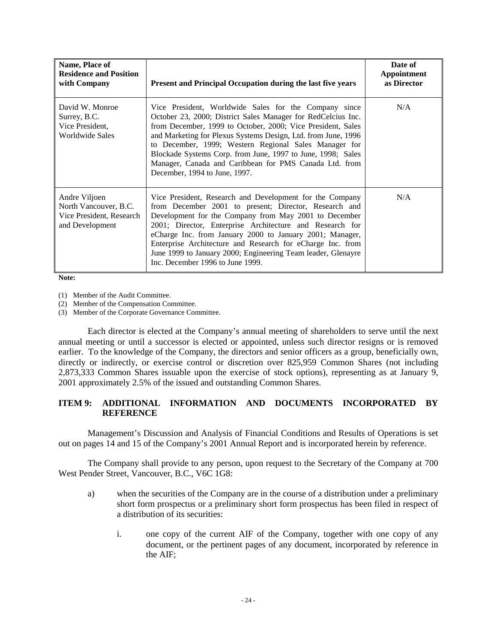| Name, Place of<br><b>Residence and Position</b><br>with Company                       | Present and Principal Occupation during the last five years                                                                                                                                                                                                                                                                                                                                                                                                              | Date of<br>Appointment<br>as Director |
|---------------------------------------------------------------------------------------|--------------------------------------------------------------------------------------------------------------------------------------------------------------------------------------------------------------------------------------------------------------------------------------------------------------------------------------------------------------------------------------------------------------------------------------------------------------------------|---------------------------------------|
| David W. Monroe<br>Surrey, B.C.<br>Vice President,<br>Worldwide Sales                 | Vice President, Worldwide Sales for the Company since<br>October 23, 2000; District Sales Manager for RedCelcius Inc.<br>from December, 1999 to October, 2000; Vice President, Sales<br>and Marketing for Plexus Systems Design, Ltd. from June, 1996<br>to December, 1999; Western Regional Sales Manager for<br>Blockade Systems Corp. from June, 1997 to June, 1998; Sales<br>Manager, Canada and Caribbean for PMS Canada Ltd. from<br>December, 1994 to June, 1997. | N/A                                   |
| Andre Viljoen<br>North Vancouver, B.C.<br>Vice President, Research<br>and Development | Vice President, Research and Development for the Company<br>from December 2001 to present; Director, Research and<br>Development for the Company from May 2001 to December<br>2001; Director, Enterprise Architecture and Research for<br>eCharge Inc. from January 2000 to January 2001; Manager,<br>Enterprise Architecture and Research for eCharge Inc. from<br>June 1999 to January 2000; Engineering Team leader, Glenayre<br>Inc. December 1996 to June 1999.     | N/A                                   |

**Note:**

(1) Member of the Audit Committee.

(2) Member of the Compensation Committee.

(3) Member of the Corporate Governance Committee.

Each director is elected at the Company's annual meeting of shareholders to serve until the next annual meeting or until a successor is elected or appointed, unless such director resigns or is removed earlier. To the knowledge of the Company, the directors and senior officers as a group, beneficially own, directly or indirectly, or exercise control or discretion over 825,959 Common Shares (not including 2,873,333 Common Shares issuable upon the exercise of stock options), representing as at January 9, 2001 approximately 2.5% of the issued and outstanding Common Shares.

## **ITEM 9: ADDITIONAL INFORMATION AND DOCUMENTS INCORPORATED BY REFERENCE**

Management's Discussion and Analysis of Financial Conditions and Results of Operations is set out on pages 14 and 15 of the Company's 2001 Annual Report and is incorporated herein by reference.

The Company shall provide to any person, upon request to the Secretary of the Company at 700 West Pender Street, Vancouver, B.C., V6C 1G8:

- a) when the securities of the Company are in the course of a distribution under a preliminary short form prospectus or a preliminary short form prospectus has been filed in respect of a distribution of its securities:
	- i. one copy of the current AIF of the Company, together with one copy of any document, or the pertinent pages of any document, incorporated by reference in the AIF;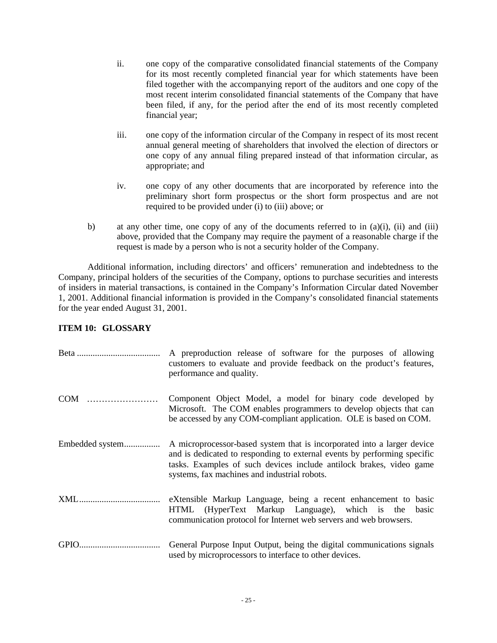- ii. one copy of the comparative consolidated financial statements of the Company for its most recently completed financial year for which statements have been filed together with the accompanying report of the auditors and one copy of the most recent interim consolidated financial statements of the Company that have been filed, if any, for the period after the end of its most recently completed financial year;
- iii. one copy of the information circular of the Company in respect of its most recent annual general meeting of shareholders that involved the election of directors or one copy of any annual filing prepared instead of that information circular, as appropriate; and
- iv. one copy of any other documents that are incorporated by reference into the preliminary short form prospectus or the short form prospectus and are not required to be provided under (i) to (iii) above; or
- b) at any other time, one copy of any of the documents referred to in  $(a)(i)$ ,  $(ii)$  and  $(iii)$ above, provided that the Company may require the payment of a reasonable charge if the request is made by a person who is not a security holder of the Company.

Additional information, including directors' and officers' remuneration and indebtedness to the Company, principal holders of the securities of the Company, options to purchase securities and interests of insiders in material transactions, is contained in the Company's Information Circular dated November 1, 2001. Additional financial information is provided in the Company's consolidated financial statements for the year ended August 31, 2001.

## **ITEM 10: GLOSSARY**

|                                 | A preproduction release of software for the purposes of allowing<br>customers to evaluate and provide feedback on the product's features,<br>performance and quality.                                                                                                      |
|---------------------------------|----------------------------------------------------------------------------------------------------------------------------------------------------------------------------------------------------------------------------------------------------------------------------|
| $\text{COM}^{\text{\tiny{TM}}}$ | Component Object Model, a model for binary code developed by<br>Microsoft. The COM enables programmers to develop objects that can<br>be accessed by any COM-compliant application. OLE is based on COM.                                                                   |
| Embedded system                 | A microprocessor-based system that is incorporated into a larger device<br>and is dedicated to responding to external events by performing specific<br>tasks. Examples of such devices include antilock brakes, video game<br>systems, fax machines and industrial robots. |
|                                 | eXtensible Markup Language, being a recent enhancement to basic<br>HTML (HyperText Markup Language), which is the basic<br>communication protocol for Internet web servers and web browsers.                                                                               |
|                                 | General Purpose Input Output, being the digital communications signals<br>used by microprocessors to interface to other devices.                                                                                                                                           |